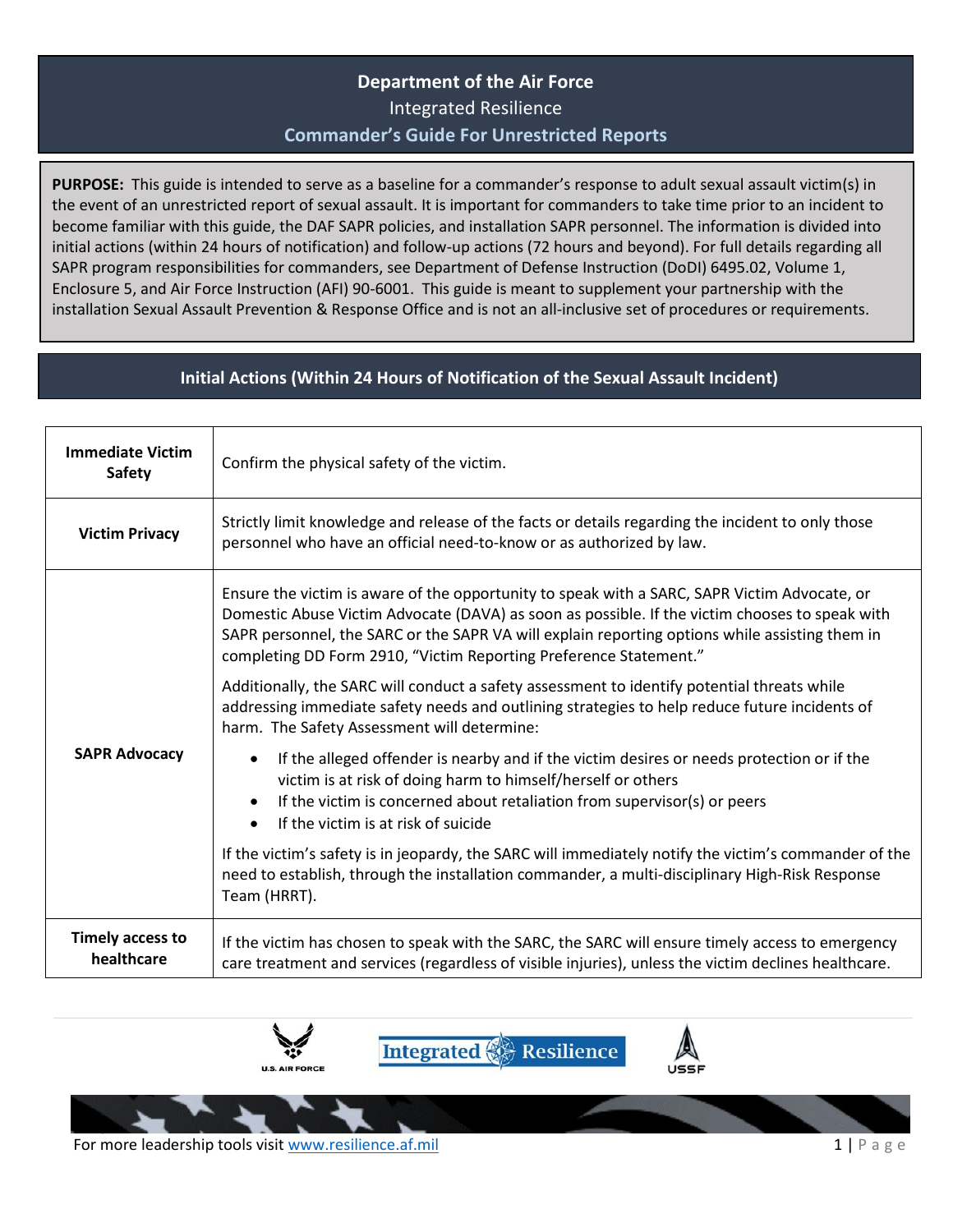## **Department of the Air Force** Integrated Resilience **Commander's Guide For Unrestricted Reports**

**PURPOSE:** This guide is intended to serve as a baseline for a commander's response to adult sexual assault victim(s) in the event of an unrestricted report of sexual assault. It is important for commanders to take time prior to an incident to become familiar with this guide, the DAF SAPR policies, and installation SAPR personnel. The information is divided into initial actions (within 24 hours of notification) and follow-up actions (72 hours and beyond). For full details regarding all SAPR program responsibilities for commanders, see Department of Defense Instruction (DoDI) 6495.02, Volume 1, Enclosure 5, and Air Force Instruction (AFI) 90-6001. This guide is meant to supplement your partnership with the installation Sexual Assault Prevention & Response Office and is not an all-inclusive set of procedures or requirements.

## **Initial Actions (Within 24 Hours of Notification of the Sexual Assault Incident)**

| <b>Immediate Victim</b><br><b>Safety</b> | Confirm the physical safety of the victim.                                                                                                                                                                                                                                                                                                                            |
|------------------------------------------|-----------------------------------------------------------------------------------------------------------------------------------------------------------------------------------------------------------------------------------------------------------------------------------------------------------------------------------------------------------------------|
| <b>Victim Privacy</b>                    | Strictly limit knowledge and release of the facts or details regarding the incident to only those<br>personnel who have an official need-to-know or as authorized by law.                                                                                                                                                                                             |
| <b>SAPR Advocacy</b>                     | Ensure the victim is aware of the opportunity to speak with a SARC, SAPR Victim Advocate, or<br>Domestic Abuse Victim Advocate (DAVA) as soon as possible. If the victim chooses to speak with<br>SAPR personnel, the SARC or the SAPR VA will explain reporting options while assisting them in<br>completing DD Form 2910, "Victim Reporting Preference Statement." |
|                                          | Additionally, the SARC will conduct a safety assessment to identify potential threats while<br>addressing immediate safety needs and outlining strategies to help reduce future incidents of<br>harm. The Safety Assessment will determine:                                                                                                                           |
|                                          | If the alleged offender is nearby and if the victim desires or needs protection or if the<br>victim is at risk of doing harm to himself/herself or others<br>If the victim is concerned about retaliation from supervisor(s) or peers<br>If the victim is at risk of suicide                                                                                          |
|                                          | If the victim's safety is in jeopardy, the SARC will immediately notify the victim's commander of the<br>need to establish, through the installation commander, a multi-disciplinary High-Risk Response<br>Team (HRRT).                                                                                                                                               |
| <b>Timely access to</b><br>healthcare    | If the victim has chosen to speak with the SARC, the SARC will ensure timely access to emergency<br>care treatment and services (regardless of visible injuries), unless the victim declines healthcare.                                                                                                                                                              |

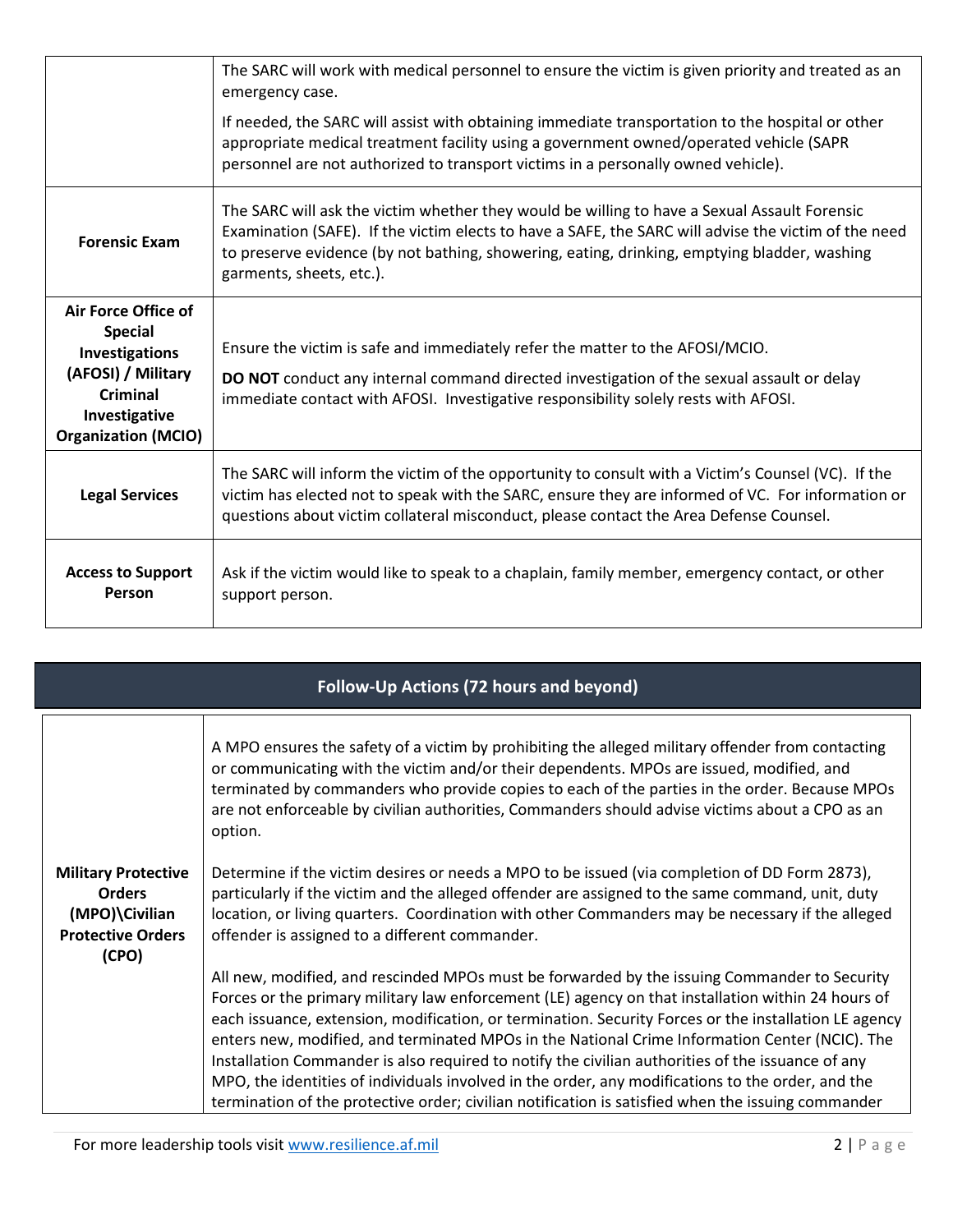|                                                                                                                                                 | The SARC will work with medical personnel to ensure the victim is given priority and treated as an<br>emergency case.<br>If needed, the SARC will assist with obtaining immediate transportation to the hospital or other<br>appropriate medical treatment facility using a government owned/operated vehicle (SAPR<br>personnel are not authorized to transport victims in a personally owned vehicle). |
|-------------------------------------------------------------------------------------------------------------------------------------------------|----------------------------------------------------------------------------------------------------------------------------------------------------------------------------------------------------------------------------------------------------------------------------------------------------------------------------------------------------------------------------------------------------------|
| <b>Forensic Exam</b>                                                                                                                            | The SARC will ask the victim whether they would be willing to have a Sexual Assault Forensic<br>Examination (SAFE). If the victim elects to have a SAFE, the SARC will advise the victim of the need<br>to preserve evidence (by not bathing, showering, eating, drinking, emptying bladder, washing<br>garments, sheets, etc.).                                                                         |
| Air Force Office of<br><b>Special</b><br>Investigations<br>(AFOSI) / Military<br><b>Criminal</b><br>Investigative<br><b>Organization (MCIO)</b> | Ensure the victim is safe and immediately refer the matter to the AFOSI/MCIO.<br>DO NOT conduct any internal command directed investigation of the sexual assault or delay<br>immediate contact with AFOSI. Investigative responsibility solely rests with AFOSI.                                                                                                                                        |
| <b>Legal Services</b>                                                                                                                           | The SARC will inform the victim of the opportunity to consult with a Victim's Counsel (VC). If the<br>victim has elected not to speak with the SARC, ensure they are informed of VC. For information or<br>questions about victim collateral misconduct, please contact the Area Defense Counsel.                                                                                                        |
| <b>Access to Support</b><br>Person                                                                                                              | Ask if the victim would like to speak to a chaplain, family member, emergency contact, or other<br>support person.                                                                                                                                                                                                                                                                                       |

| <b>Follow-Up Actions (72 hours and beyond)</b>                                                     |                                                                                                                                                                                                                                                                                                                                                                                                                                                                                                                                                                                                                                                                                                                               |  |
|----------------------------------------------------------------------------------------------------|-------------------------------------------------------------------------------------------------------------------------------------------------------------------------------------------------------------------------------------------------------------------------------------------------------------------------------------------------------------------------------------------------------------------------------------------------------------------------------------------------------------------------------------------------------------------------------------------------------------------------------------------------------------------------------------------------------------------------------|--|
|                                                                                                    | A MPO ensures the safety of a victim by prohibiting the alleged military offender from contacting<br>or communicating with the victim and/or their dependents. MPOs are issued, modified, and<br>terminated by commanders who provide copies to each of the parties in the order. Because MPOs<br>are not enforceable by civilian authorities, Commanders should advise victims about a CPO as an<br>option.                                                                                                                                                                                                                                                                                                                  |  |
| <b>Military Protective</b><br><b>Orders</b><br>(MPO)\Civilian<br><b>Protective Orders</b><br>(CPO) | Determine if the victim desires or needs a MPO to be issued (via completion of DD Form 2873),<br>particularly if the victim and the alleged offender are assigned to the same command, unit, duty<br>location, or living quarters. Coordination with other Commanders may be necessary if the alleged<br>offender is assigned to a different commander.                                                                                                                                                                                                                                                                                                                                                                       |  |
|                                                                                                    | All new, modified, and rescinded MPOs must be forwarded by the issuing Commander to Security<br>Forces or the primary military law enforcement (LE) agency on that installation within 24 hours of<br>each issuance, extension, modification, or termination. Security Forces or the installation LE agency<br>enters new, modified, and terminated MPOs in the National Crime Information Center (NCIC). The<br>Installation Commander is also required to notify the civilian authorities of the issuance of any<br>MPO, the identities of individuals involved in the order, any modifications to the order, and the<br>termination of the protective order; civilian notification is satisfied when the issuing commander |  |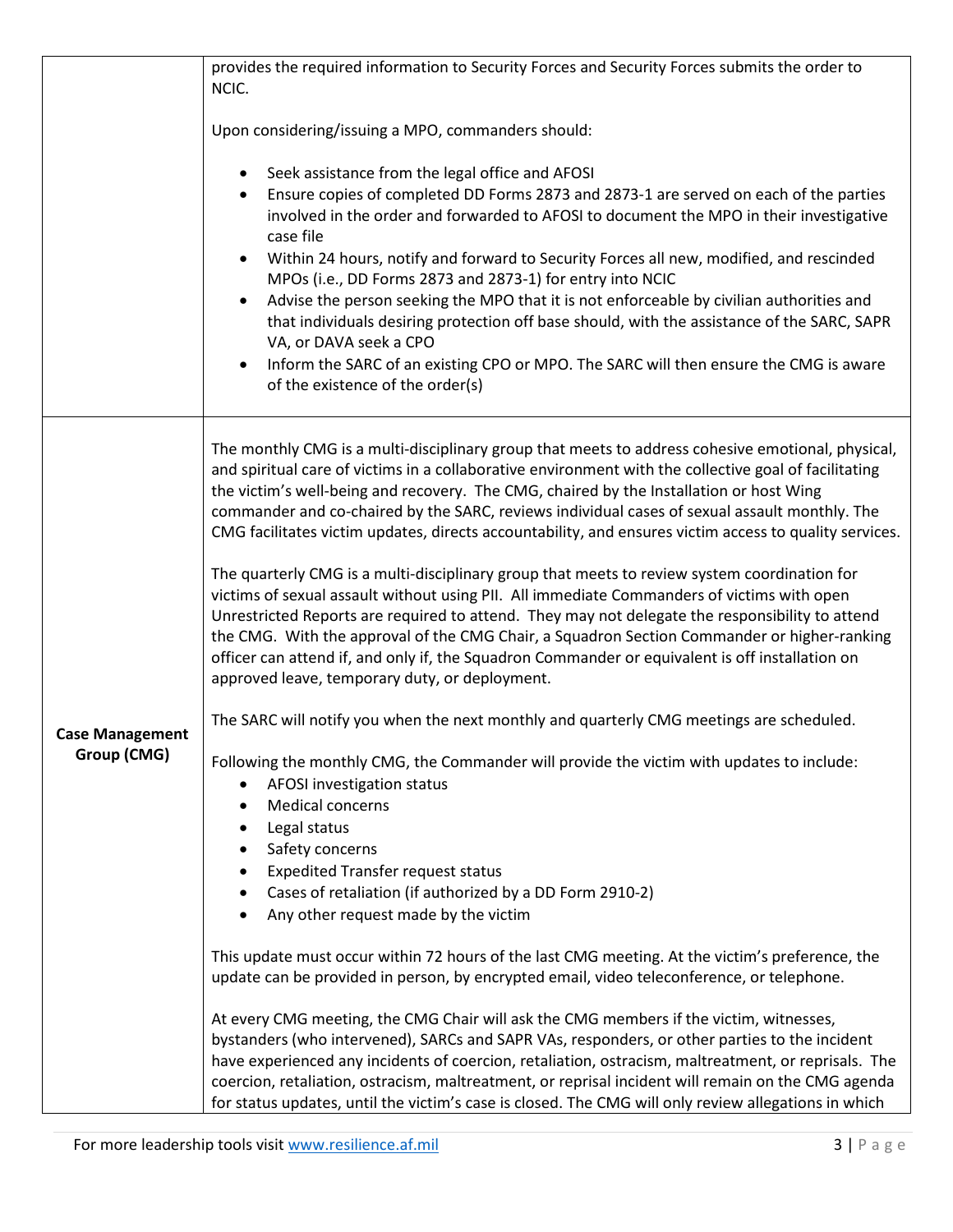|                        | provides the required information to Security Forces and Security Forces submits the order to                                                                                                                                                                                                                                                                                                                                                                                                                                                     |
|------------------------|---------------------------------------------------------------------------------------------------------------------------------------------------------------------------------------------------------------------------------------------------------------------------------------------------------------------------------------------------------------------------------------------------------------------------------------------------------------------------------------------------------------------------------------------------|
|                        | NCIC.                                                                                                                                                                                                                                                                                                                                                                                                                                                                                                                                             |
|                        | Upon considering/issuing a MPO, commanders should:                                                                                                                                                                                                                                                                                                                                                                                                                                                                                                |
|                        | Seek assistance from the legal office and AFOSI<br>$\bullet$                                                                                                                                                                                                                                                                                                                                                                                                                                                                                      |
|                        | Ensure copies of completed DD Forms 2873 and 2873-1 are served on each of the parties<br>$\bullet$<br>involved in the order and forwarded to AFOSI to document the MPO in their investigative<br>case file                                                                                                                                                                                                                                                                                                                                        |
|                        | Within 24 hours, notify and forward to Security Forces all new, modified, and rescinded<br>$\bullet$<br>MPOs (i.e., DD Forms 2873 and 2873-1) for entry into NCIC                                                                                                                                                                                                                                                                                                                                                                                 |
|                        | Advise the person seeking the MPO that it is not enforceable by civilian authorities and<br>$\bullet$<br>that individuals desiring protection off base should, with the assistance of the SARC, SAPR<br>VA, or DAVA seek a CPO                                                                                                                                                                                                                                                                                                                    |
|                        | Inform the SARC of an existing CPO or MPO. The SARC will then ensure the CMG is aware<br>$\bullet$<br>of the existence of the order(s)                                                                                                                                                                                                                                                                                                                                                                                                            |
|                        |                                                                                                                                                                                                                                                                                                                                                                                                                                                                                                                                                   |
|                        | The monthly CMG is a multi-disciplinary group that meets to address cohesive emotional, physical,<br>and spiritual care of victims in a collaborative environment with the collective goal of facilitating                                                                                                                                                                                                                                                                                                                                        |
|                        | the victim's well-being and recovery. The CMG, chaired by the Installation or host Wing<br>commander and co-chaired by the SARC, reviews individual cases of sexual assault monthly. The                                                                                                                                                                                                                                                                                                                                                          |
|                        | CMG facilitates victim updates, directs accountability, and ensures victim access to quality services.                                                                                                                                                                                                                                                                                                                                                                                                                                            |
|                        | The quarterly CMG is a multi-disciplinary group that meets to review system coordination for<br>victims of sexual assault without using PII. All immediate Commanders of victims with open<br>Unrestricted Reports are required to attend. They may not delegate the responsibility to attend<br>the CMG. With the approval of the CMG Chair, a Squadron Section Commander or higher-ranking<br>officer can attend if, and only if, the Squadron Commander or equivalent is off installation on<br>approved leave, temporary duty, or deployment. |
| <b>Case Management</b> | The SARC will notify you when the next monthly and quarterly CMG meetings are scheduled.                                                                                                                                                                                                                                                                                                                                                                                                                                                          |
| Group (CMG)            | Following the monthly CMG, the Commander will provide the victim with updates to include:<br>AFOSI investigation status                                                                                                                                                                                                                                                                                                                                                                                                                           |
|                        | Medical concerns<br>٠<br>Legal status<br>٠                                                                                                                                                                                                                                                                                                                                                                                                                                                                                                        |
|                        | Safety concerns<br>٠                                                                                                                                                                                                                                                                                                                                                                                                                                                                                                                              |
|                        | <b>Expedited Transfer request status</b><br>٠                                                                                                                                                                                                                                                                                                                                                                                                                                                                                                     |
|                        | Cases of retaliation (if authorized by a DD Form 2910-2)<br>$\bullet$<br>Any other request made by the victim<br>٠                                                                                                                                                                                                                                                                                                                                                                                                                                |
|                        | This update must occur within 72 hours of the last CMG meeting. At the victim's preference, the<br>update can be provided in person, by encrypted email, video teleconference, or telephone.                                                                                                                                                                                                                                                                                                                                                      |
|                        | At every CMG meeting, the CMG Chair will ask the CMG members if the victim, witnesses,                                                                                                                                                                                                                                                                                                                                                                                                                                                            |
|                        | bystanders (who intervened), SARCs and SAPR VAs, responders, or other parties to the incident<br>have experienced any incidents of coercion, retaliation, ostracism, maltreatment, or reprisals. The                                                                                                                                                                                                                                                                                                                                              |
|                        | coercion, retaliation, ostracism, maltreatment, or reprisal incident will remain on the CMG agenda<br>for status updates, until the victim's case is closed. The CMG will only review allegations in which                                                                                                                                                                                                                                                                                                                                        |